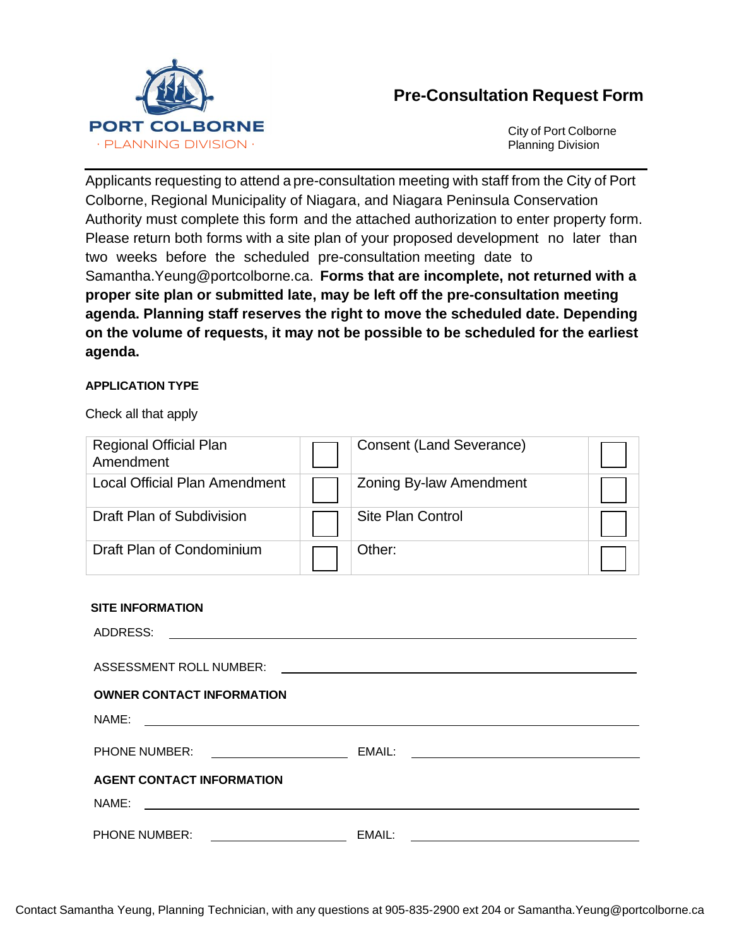

# **Pre-Consultation Request Form**

City of Port Colborne Planning Division

Applicants requesting to attend a pre-consultation meeting with staff from the City of Port Colborne, Regional Municipality of Niagara, and Niagara Peninsula Conservation Authority must complete this form and the attached authorization to enter property form. Please return both forms with a site plan of your proposed development no later than two weeks before the scheduled pre-consultation meeting date to Samantha.Yeung@portcolborne.ca. **Forms that are incomplete, not returned with a proper site plan or submitted late, may be left off the pre-consultation meeting agenda. Planning staff reserves the right to move the scheduled date. Depending on the volume of requests, it may not be possible to be scheduled for the earliest agenda.**

### **APPLICATION TYPE**

Check all that apply

| <b>Regional Official Plan</b><br>Amendment | <b>Consent (Land Severance)</b> |  |
|--------------------------------------------|---------------------------------|--|
| <b>Local Official Plan Amendment</b>       | <b>Zoning By-law Amendment</b>  |  |
| Draft Plan of Subdivision                  | <b>Site Plan Control</b>        |  |
| Draft Plan of Condominium                  | Other:                          |  |

#### **SITE INFORMATION**

| ADDRESS:                                                                                                                      | <u> 1999 - Johann Harry Harry Harry Harry Harry Harry Harry Harry Harry Harry Harry Harry Harry Harry Harry Harry Harry Harry Harry Harry Harry Harry Harry Harry Harry Harry Harry Harry Harry Harry Harry Harry Harry Harry Ha</u> |
|-------------------------------------------------------------------------------------------------------------------------------|--------------------------------------------------------------------------------------------------------------------------------------------------------------------------------------------------------------------------------------|
| <b>ASSESSMENT ROLL NUMBER:</b>                                                                                                | <u> 1989 - Andrea Stadt Britain, amerikansk politik (</u>                                                                                                                                                                            |
| <b>OWNER CONTACT INFORMATION</b>                                                                                              |                                                                                                                                                                                                                                      |
| NAME:<br><u> 1989 - Johann Stein, mars an deutscher Stein und der Stein und der Stein und der Stein und der Stein und der</u> |                                                                                                                                                                                                                                      |
| <b>PHONE NUMBER:</b><br><u> 1989 - Johann Harry Barn, mars ar breist fan de Fryske kommer</u>                                 | EMAIL:                                                                                                                                                                                                                               |
| <b>AGENT CONTACT INFORMATION</b>                                                                                              |                                                                                                                                                                                                                                      |
| NAME:                                                                                                                         |                                                                                                                                                                                                                                      |
| PHONE NUMBER:                                                                                                                 | EMAIL:                                                                                                                                                                                                                               |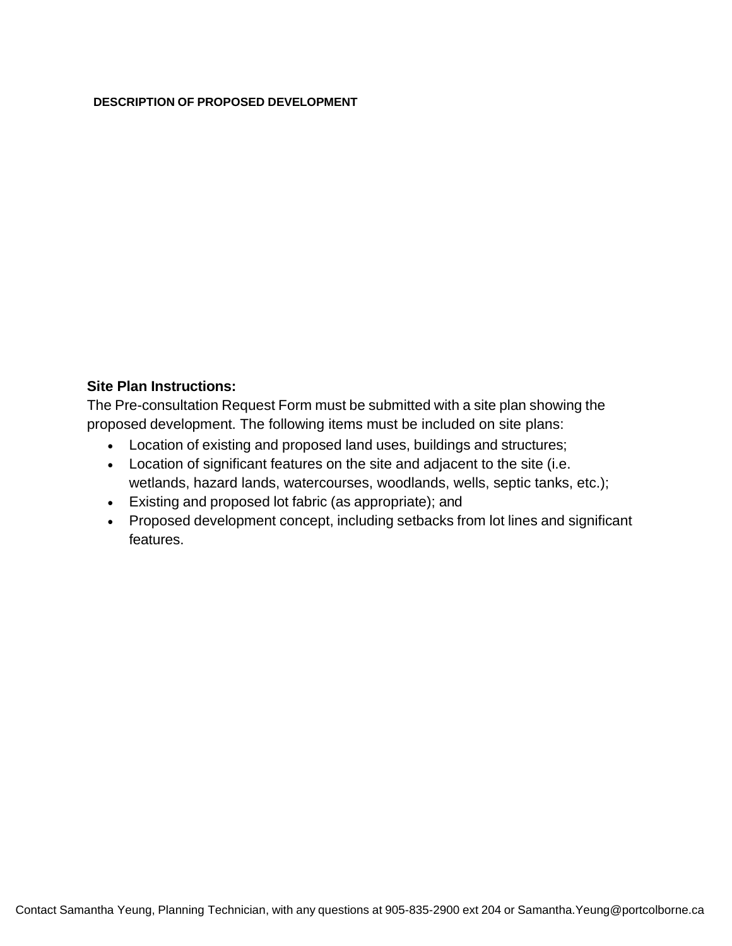#### **DESCRIPTION OF PROPOSED DEVELOPMENT**

## **Site Plan Instructions:**

The Pre-consultation Request Form must be submitted with a site plan showing the proposed development. The following items must be included on site plans:

- Location of existing and proposed land uses, buildings and structures;
- Location of significant features on the site and adjacent to the site (i.e. wetlands, hazard lands, watercourses, woodlands, wells, septic tanks, etc.);
- Existing and proposed lot fabric (as appropriate); and
- Proposed development concept, including setbacks from lot lines and significant features.